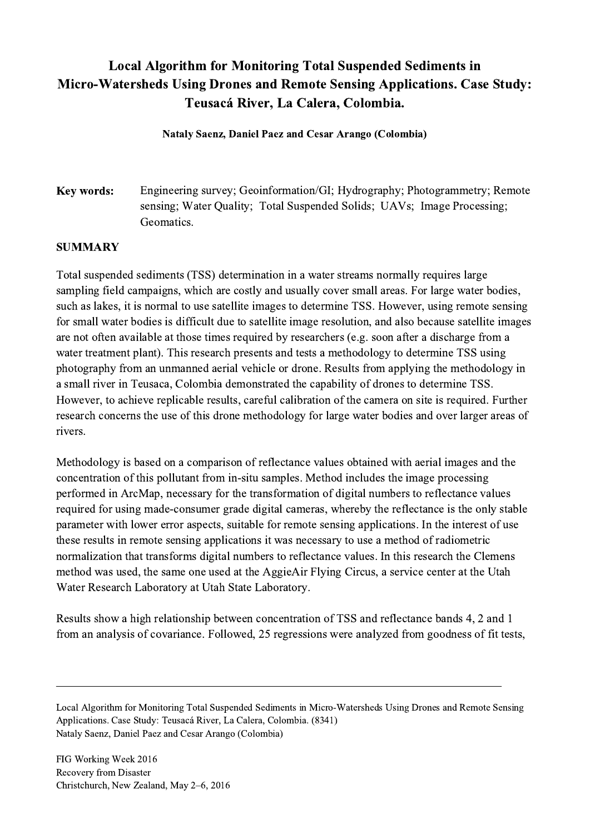## Local Algorithm for Monitoring Total Suspended Sediments in Micro-Watersheds Using Drones and Remote Sensing Applications. Case Study: Teusacá River, La Calera, Colombia.

Nataly Saenz, Daniel Paez and Cesar Arango (Colombia)

Key words: Engineering survey; Geoinformation/GI; Hydrography; Photogrammetry; Remote sensing; Water Quality; Total Suspended Solids; UAVs; Image Processing; Geomatics.

## SUMMARY

Total suspended sediments (TSS) determination in a water streams normally requires large sampling field campaigns, which are costly and usually cover small areas. For large water bodies, such as lakes, it is normal to use satellite images to determine TSS. However, using remote sensing for small water bodies is difficult due to satellite image resolution, and also because satellite images are not often available at those times required by researchers (e.g. soon after a discharge from a water treatment plant). This research presents and tests a methodology to determine TSS using photography from an unmanned aerial vehicle or drone. Results from applying the methodology in a small river in Teusaca, Colombia demonstrated the capability of drones to determine TSS. However, to achieve replicable results, careful calibration of the camera on site is required. Further research concerns the use of this drone methodology for large water bodies and over larger areas of rivers.

Methodology is based on a comparison of reflectance values obtained with aerial images and the concentration of this pollutant from in-situ samples. Method includes the image processing performed in ArcMap, necessary for the transformation of digital numbers to reflectance values required for using made-consumer grade digital cameras, whereby the reflectance is the only stable parameter with lower error aspects, suitable for remote sensing applications. In the interest of use these results in remote sensing applications it was necessary to use a method of radiometric normalization that transforms digital numbers to reflectance values. In this research the Clemens method was used, the same one used at the AggieAir Flying Circus, a service center at the Utah Water Research Laboratory at Utah State Laboratory.

Results show a high relationship between concentration of TSS and reflectance bands 4, 2 and 1 from an analysis of covariance. Followed, 25 regressions were analyzed from goodness of fit tests,

Local Algorithm for Monitoring Total Suspended Sediments in Micro-Watersheds Using Drones and Remote Sensing Applications. Case Study: Teusacá River, La Calera, Colombia. (8341) Nataly Saenz, Daniel Paez and Cesar Arango (Colombia)

 $\mathcal{L}_\mathcal{L} = \{ \mathcal{L}_\mathcal{L} = \{ \mathcal{L}_\mathcal{L} = \{ \mathcal{L}_\mathcal{L} = \{ \mathcal{L}_\mathcal{L} = \{ \mathcal{L}_\mathcal{L} = \{ \mathcal{L}_\mathcal{L} = \{ \mathcal{L}_\mathcal{L} = \{ \mathcal{L}_\mathcal{L} = \{ \mathcal{L}_\mathcal{L} = \{ \mathcal{L}_\mathcal{L} = \{ \mathcal{L}_\mathcal{L} = \{ \mathcal{L}_\mathcal{L} = \{ \mathcal{L}_\mathcal{L} = \{ \mathcal{L}_\mathcal{$ 

FIG Working Week 2016 Recovery from Disaster Christchurch, New Zealand, May 2–6, 2016